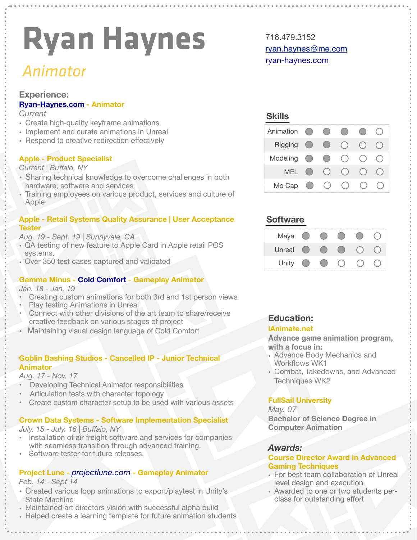# **Ryan Haynes**

### *Animator*

#### **Experience:**

#### **[Ryan-Haynes.com](http://Ryan-Haynes.com) - Animator**

#### *Current*

- Create high-quality keyframe animations
- Implement and curate animations in Unreal
- Respond to creative redirection effectively

#### **Apple - Product Specialist**

#### *Current | Buffalo, NY*

- Sharing technical knowledge to overcome challenges in both hardware, software and services
- Training employees on various product, services and culture of Apple

#### **Apple - Retail Systems Quality Assurance | User Acceptance Tester**

#### *Aug. 19 - Sept. 19 | Sunnyvale, CA*

- **•** QA testing of new feature to Apple Card in Apple retail POS systems.
- **•** Over 350 test cases captured and validated

#### **Gamma Minus - [Cold Comfort](http://coldcomfortgame.com) - Gameplay Animator**

#### *Jan. 18 - Jan. 19*

- Creating custom animations for both 3rd and 1st person views
- Play testing Animations in Unreal
- Connect with other divisions of the art team to share/receive creative feedback on various stages of project
- Maintaining visual design language of Cold Comfort

#### **Goblin Bashing Studios - Cancelled IP - Junior Technical Animator**

#### *Aug. 17 - Nov. 17*

- Developing Technical Animator responsibilities
- Articulation tests with character topology
- Create custom character setup to be used with various assets

#### **Crown Data Systems - Software Implementation Specialist**

#### *July. 15 - July. 16 | Buffalo, NY*

- Installation of air freight software and services for companies with seamless transition through advanced training.
- Software tester for future releases.

#### **Project Lune -** *[projectlune.com](http://projectlune.com)* **- Gameplay Animator**

*Feb. 14 - Sept 14* 

- Created various loop animations to export/playtest in Unity's State Machine
- Maintained art directors vision with successful alpha build
- Helped create a learning template for future animation students

716.479.3152 [ryan.haynes@me.com](mailto:ryan.haynes@me.com) [ryan-haynes.com](http://ryan-haynes.com)

#### **Skills**

| Animation  |                        |                                             |     |  |
|------------|------------------------|---------------------------------------------|-----|--|
| Rigging    |                        | $\left(\begin{array}{c} \end{array}\right)$ |     |  |
| Modeling   |                        | $\left( \quad \right)$                      | ( ) |  |
| <b>MEL</b> | $\left( \quad \right)$ |                                             |     |  |
| Mo Cap     | ( )                    |                                             |     |  |

#### **Software**

| Maya   |  |  |  |
|--------|--|--|--|
| Unreal |  |  |  |
| Unity  |  |  |  |

#### **Education:**

#### **iAnimate.net**

**Advance game animation program, with a focus in:** 

- Advance Body Mechanics and Workflows WK1
- Combat, Takedowns, and Advanced Techniques WK2

#### **FullSail University**

*May. 07* **Bachelor of Science Degree in Computer Animation** 

#### *Awards:*

#### **Course Director Award in Advanced Gaming Techniques**

- For best team collaboration of Unreal level design and execution
- Awarded to one or two students perclass for outstanding effort